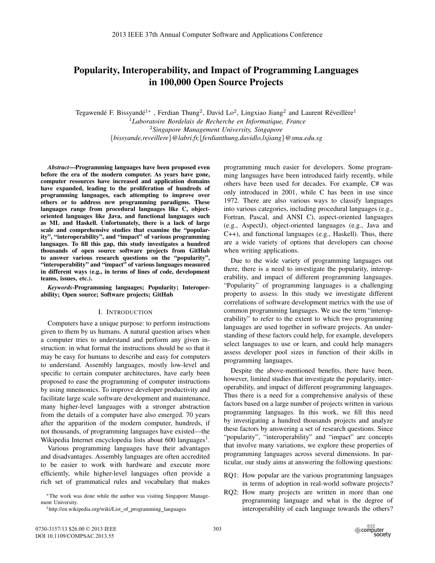# Popularity, Interoperability, and Impact of Programming Languages in 100,000 Open Source Projects

Tegawendé F. Bissyandé<sup>1</sup>\*, Ferdian Thung<sup>2</sup>, David Lo<sup>2</sup>, Lingxiao Jiang<sup>2</sup> and Laurent Réveillère<sup>1</sup> <sup>1</sup>*Laboratoire Bordelais de Recherche en Informatique, France* <sup>2</sup>*Singapore Management University, Singapore* {*bissyande,reveillere*}*@labri.fr,*{*ferdianthung,davidlo,lxjiang*}*@smu.edu.sg*

*Abstract*—Programming languages have been proposed even before the era of the modern computer. As years have gone, computer resources have increased and application domains have expanded, leading to the proliferation of hundreds of programming languages, each attempting to improve over others or to address new programming paradigms. These languages range from procedural languages like C, objectoriented languages like Java, and functional languages such as ML and Haskell. Unfortunately, there is a lack of large scale and comprehensive studies that examine the "popularity", "interoperability", and "impact" of various programming languages. To fill this gap, this study investigates a hundred thousands of open source software projects from GitHub to answer various research questions on the "popularity", "interoperability" and "impact" of various languages measured in different ways (e.g., in terms of lines of code, development teams, issues, etc.).

*Keywords*-Programming languages; Popularity; Interoperability; Open source; Software projects; GitHub

## I. INTRODUCTION

Computers have a unique purpose: to perform instructions given to them by us humans. A natural question arises when a computer tries to understand and perform any given instruction: in what format the instructions should be so that it may be easy for humans to describe and easy for computers to understand. Assembly languages, mostly low-level and specific to certain computer architectures, have early been proposed to ease the programming of computer instructions by using mnemonics. To improve developer productivity and facilitate large scale software development and maintenance, many higher-level languages with a stronger abstraction from the details of a computer have also emerged. 70 years after the apparition of the modern computer, hundreds, if not thousands, of programming languages have existed—the Wikipedia Internet encyclopedia lists about  $600 \text{ languages}^1$ .

Various programming languages have their advantages and disadvantages. Assembly languages are often accredited to be easier to work with hardware and execute more efficiently, while higher-level languages often provide a rich set of grammatical rules and vocabulary that makes

∗The work was done while the author was visiting Singapore Management University.

<sup>1</sup>http://en.wikipedia.org/wiki/List\_of\_programming\_languages

programming much easier for developers. Some programming languages have been introduced fairly recently, while others have been used for decades. For example, C# was only introduced in 2001, while C has been in use since 1972. There are also various ways to classify languages into various categories, including procedural languages (e.g., Fortran, Pascal, and ANSI C), aspect-oriented languages (e.g., AspectJ), object-oriented languages (e.g., Java and C++), and functional languages (e.g., Haskell). Thus, there are a wide variety of options that developers can choose when writing applications.

Due to the wide variety of programming languages out there, there is a need to investigate the popularity, interoperability, and impact of different programming languages. "Popularity" of programming languages is a challenging property to assess. In this study we investigate different correlations of software development metrics with the use of common programming languages. We use the term "interoperability" to refer to the extent to which two programming languages are used together in software projects. An understanding of these factors could help, for example, developers select languages to use or learn, and could help managers assess developer pool sizes in function of their skills in programming languages.

Despite the above-mentioned benefits, there have been, however, limited studies that investigate the popularity, interoperability, and impact of different programming languages. Thus there is a need for a comprehensive analysis of these factors based on a large number of projects written in various programming languages. In this work, we fill this need by investigating a hundred thousands projects and analyze these factors by answering a set of research questions. Since "popularity", "interoperability" and "impact" are concepts that involve many variations, we explore these properties of programming languages across several dimensions. In particular, our study aims at answering the following questions:

- RQ1: How popular are the various programming languages in terms of adoption in real-world software projects?
- RQ2: How many projects are written in more than one programming language and what is the degree of interoperability of each language towards the others?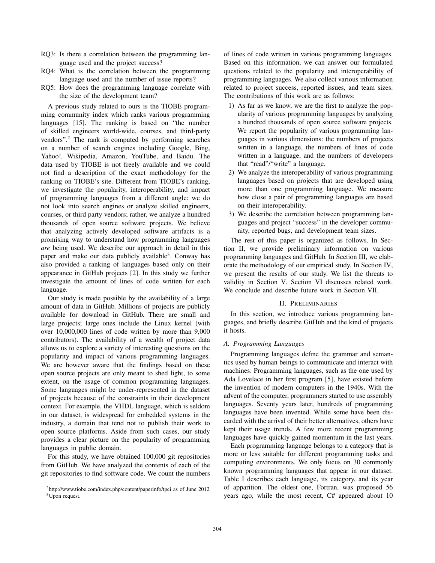- RQ3: Is there a correlation between the programming language used and the project success?
- RQ4: What is the correlation between the programming language used and the number of issue reports?
- RQ5: How does the programming language correlate with the size of the development team?

A previous study related to ours is the TIOBE programming community index which ranks various programming languages [15]. The ranking is based on "the number of skilled engineers world-wide, courses, and third-party vendors".2 The rank is computed by performing searches on a number of search engines including Google, Bing, Yahoo!, Wikipedia, Amazon, YouTube, and Baidu. The data used by TIOBE is not freely available and we could not find a description of the exact methodology for the ranking on TIOBE's site. Different from TIOBE's ranking, we investigate the popularity, interoperability, and impact of programming languages from a different angle: we do not look into search engines or analyze skilled engineers, courses, or third party vendors; rather, we analyze a hundred thousands of open source software projects. We believe that analyzing actively developed software artifacts is a promising way to understand how programming languages *are* being used. We describe our approach in detail in this paper and make our data publicly available<sup>3</sup>. Conway has also provided a ranking of languages based only on their appearance in GitHub projects [2]. In this study we further investigate the amount of lines of code written for each language.

Our study is made possible by the availability of a large amount of data in GitHub. Millions of projects are publicly available for download in GitHub. There are small and large projects; large ones include the Linux kernel (with over 10,000,000 lines of code written by more than 9,000 contributors). The availability of a wealth of project data allows us to explore a variety of interesting questions on the popularity and impact of various programming languages. We are however aware that the findings based on these open source projects are only meant to shed light, to some extent, on the usage of common programming languages. Some languages might be under-represented in the dataset of projects because of the constraints in their development context. For example, the VHDL language, which is seldom in our dataset, is widespread for embedded systems in the industry, a domain that tend not to publish their work to open source platforms. Aside from such cases, our study provides a clear picture on the popularity of programming languages in public domain.

For this study, we have obtained 100,000 git repositories from GitHub. We have analyzed the contents of each of the git repositories to find software code. We count the numbers of lines of code written in various programming languages. Based on this information, we can answer our formulated questions related to the popularity and interoperability of programming languages. We also collect various information related to project success, reported issues, and team sizes. The contributions of this work are as follows:

- 1) As far as we know, we are the first to analyze the popularity of various programming languages by analyzing a hundred thousands of open source software projects. We report the popularity of various programming languages in various dimensions: the numbers of projects written in a language, the numbers of lines of code written in a language, and the numbers of developers that "read"/"write" a language.
- 2) We analyze the interoperability of various programming languages based on projects that are developed using more than one programming language. We measure how close a pair of programming languages are based on their interoperability.
- 3) We describe the correlation between programming languages and project "success" in the developer community, reported bugs, and development team sizes.

The rest of this paper is organized as follows. In Section II, we provide preliminary information on various programming languages and GitHub. In Section III, we elaborate the methodology of our empirical study. In Section IV, we present the results of our study. We list the threats to validity in Section V. Section VI discusses related work. We conclude and describe future work in Section VII.

#### II. PRELIMINARIES

In this section, we introduce various programming languages, and briefly describe GitHub and the kind of projects it hosts.

# *A. Programming Languages*

Programming languages define the grammar and semantics used by human beings to communicate and interact with machines. Programming languages, such as the one used by Ada Lovelace in her first program [5], have existed before the invention of modern computers in the 1940s. With the advent of the computer, programmers started to use assembly languages. Seventy years later, hundreds of programming languages have been invented. While some have been discarded with the arrival of their better alternatives, others have kept their usage trends. A few more recent programming languages have quickly gained momentum in the last years.

Each programming language belongs to a category that is more or less suitable for different programming tasks and computing environments. We only focus on 30 commonly known programming languages that appear in our dataset. Table I describes each language, its category, and its year of apparition. The oldest one, Fortran, was proposed 56 years ago, while the most recent, C# appeared about 10

<sup>2</sup>http://www.tiobe.com/index.php/content/paperinfo/tpci as of June 2012 3Upon request.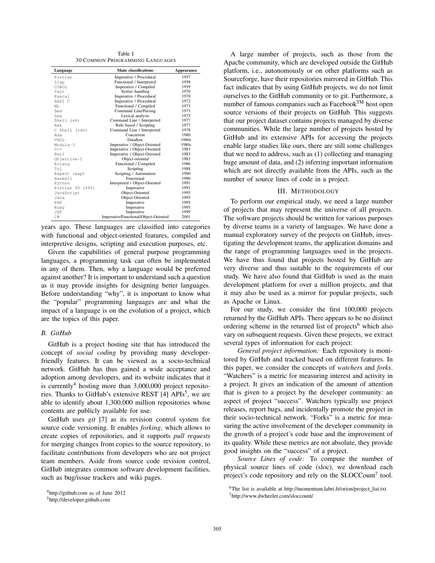Table I 30 COMMON PROGRAMMING LANGUAGES

| Language         | <b>Main classifications</b>           | Appearance |
|------------------|---------------------------------------|------------|
| Fortran          | Imperative / Procedural               | 1957       |
| Lisp             | Functional / Interpreted              | 1958       |
| COBOL            | Imperative / Compiled                 | 1959       |
| Yacc             | Syntax handling                       | 1970       |
| Pascal           | Imperative / Procedural               | 1970       |
| ANSI C           | Imperative / Procedural               | 1972       |
| MT.              | Functional / Compiled                 | 1973       |
| Sed              | Command Line/Parsing                  | 1973       |
| Lex              | Lexical analysis                      | 1975       |
| Shell (sh)       | Command Line / Interpreted            | 1977       |
| Awk              | Rule based / Scripting                | 1977       |
| C Shell (csh)    | Command Line / Interpreted            | 1978       |
| Ada              | Concurrent                            | 1980       |
| VHDT.            | Dataflow                              | 1980s      |
| Modula-3         | Imperative / Object-Oriented          | 1980s      |
| $C++$            | Imperative / Object-Oriented          | 1983       |
| Perl             | Imperative / Object-Oriented          | 1983       |
| Objective-C      | Object-oriented                       | 1983       |
| Erlang           | Functional / Compiled                 | 1986       |
| Tcl              | Scripting                             | 1988       |
| Expect (exp)     | Scripting / Automation                | 1990       |
| Haskell          | Functional                            | 1990       |
| Python           | Interpreted / Object-Oriented         | 1991       |
| Fortran 90 (f90) | Imperative                            | 1991       |
| JavaScript       | Object-Oriented                       | 1995       |
| Java             | Object-Oriented                       | 1995       |
| PHP              | Imperative                            | 1995       |
| Ruby             | Imperative                            | 1995       |
| JSP              | Imperative                            | 1999       |
| C#               | Imperative/Functional/Object-Oriented | 2001       |

years ago. These languages are classified into categories with functional and object-oriented features, compiled and interpretive designs, scripting and execution purposes, etc.

Given the capabilities of general purpose programming languages, a programming task can often be implemented in any of them. Then, why a language would be preferred against another? It is important to understand such a question as it may provide insights for designing better languages. Before understanding "why", it is important to know what the "popular" programming languages are and what the impact of a language is on the evolution of a project, which are the topics of this paper.

# *B. GitHub*

GitHub is a project hosting site that has introduced the concept of *social coding* by providing many developerfriendly features. It can be viewed as a socio-technical network. GitHub has thus gained a wide acceptance and adoption among developers, and its website indicates that it is currently<sup>4</sup> hosting more than  $3,000,000$  project repositories. Thanks to GitHub's extensive REST  $[4]$  APIs<sup>5</sup>, we are able to identify about 1,300,000 million repositories whose contents are publicly available for use.

GitHub uses *git* [7] as its revision control system for source code versioning. It enables *forking*, which allows to create copies of repositories, and it supports *pull requests* for merging changes from copies to the source repository, to facilitate contributions from developers who are not project team members. Aside from source code revision control, GitHub integrates common software development facilities, such as bug/issue trackers and wiki pages.

A large number of projects, such as those from the Apache community, which are developed outside the GitHub platform, i.e., autonomously or on other platforms such as Sourceforge, have their repositories mirrored in GitHub. This fact indicates that by using GitHub projects, we do not limit ourselves to the GitHub community or to git. Furthermore, a number of famous companies such as  $Facebook^{TM}$  host open source versions of their projects on GitHub. This suggests that our project dataset contains projects managed by diverse communities. While the large number of projects hosted by GitHub and its extensive APIs for accessing the projects enable large studies like ours, there are still some challenges that we need to address, such as (1) collecting and managing huge amount of data, and (2) inferring important information which are not directly available from the APIs, such as the number of source lines of code in a project.

## III. METHODOLOGY

To perform our empirical study, we need a large number of projects that may represent the universe of all projects. The software projects should be written for various purposes by diverse teams in a variety of languages. We have done a manual exploratory survey of the projects on GitHub, investigating the development teams, the application domains and the range of programming languages used in the projects. We have thus found that projects hosted by GitHub are very diverse and thus suitable to the requirements of our study. We have also found that GitHub is used as the main development platform for over a million projects, and that it may also be used as a mirror for popular projects, such as Apache or Linux.

For our study, we consider the first 100,000 projects returned by the GitHub APIs. There appears to be no distinct ordering scheme in the returned list of projects<sup>6</sup> which also vary on subsequent requests. Given these projects, we extract several types of information for each project:

*General project information:* Each repository is monitored by GitHub and tracked based on different features. In this paper, we consider the concepts of *watchers* and *forks*. "Watchers" is a metric for measuring interest and activity in a project. It gives an indication of the amount of attention that is given to a project by the developer community: an aspect of project "success". Watchers typically use project releases, report bugs, and incidentally promote the project in their socio-technical network. "Forks" is a metric for measuring the active involvement of the developer community in the growth of a project's code base and the improvement of its quality. While these metrics are not absolute, they provide good insights on the "success" of a project.

*Source Lines of code:* To compute the number of physical source lines of code (sloc), we download each project's code repository and rely on the SLOCCount<sup>7</sup> tool.

<sup>4</sup>http://github.com as of June 2012

<sup>5</sup>http://developer.github.com

<sup>&</sup>lt;sup>6</sup>The list is available at http://momentum.labri.fr/orion/project\_list.txt

<sup>7</sup>http://www.dwheeler.com/sloccount/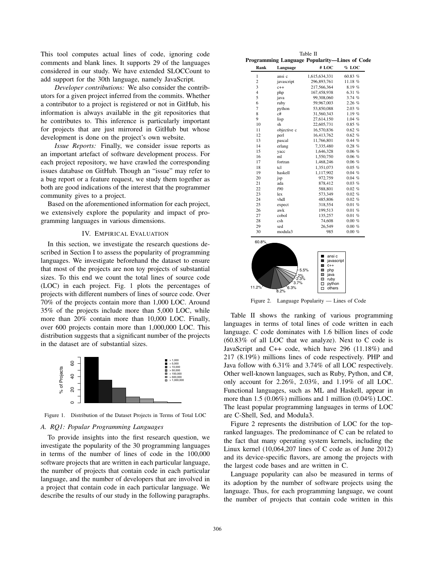This tool computes actual lines of code, ignoring code comments and blank lines. It supports 29 of the languages considered in our study. We have extended SLOCCount to add support for the 30th language, namely JavaScript.

*Developer contributions:* We also consider the contributors for a given project inferred from the commits. Whether a contributor to a project is registered or not in GitHub, his information is always available in the git repositories that he contributes to. This inference is particularly important for projects that are just mirrored in GitHub but whose development is done on the project's own website.

*Issue Reports:* Finally, we consider issue reports as an important artefact of software development process. For each project repository, we have crawled the corresponding issues database on GitHub. Though an "issue" may refer to a bug report or a feature request, we study them together as both are good indications of the interest that the programmer community gives to a project.

Based on the aforementioned information for each project, we extensively explore the popularity and impact of programming languages in various dimensions.

## IV. EMPIRICAL EVALUATION

In this section, we investigate the research questions described in Section I to assess the popularity of programming languages. We investigate beforehand the dataset to ensure that most of the projects are non toy projects of substantial sizes. To this end we count the total lines of source code (LOC) in each project. Fig. 1 plots the percentages of projects with different numbers of lines of source code. Over 70% of the projects contain more than 1,000 LOC. Around 35% of the projects include more than 5,000 LOC, while more than 20% contain more than 10,000 LOC. Finally, over 600 projects contain more than 1,000,000 LOC. This distribution suggests that a significant number of the projects in the dataset are of substantial sizes.



Figure 1. Distribution of the Dataset Projects in Terms of Total LOC

## *A. RQ1: Popular Programming Languages*

To provide insights into the first research question, we investigate the popularity of the 30 programming languages in terms of the number of lines of code in the 100,000 software projects that are written in each particular language, the number of projects that contain code in each particular language, and the number of developers that are involved in a project that contain code in each particular language. We describe the results of our study in the following paragraphs.

| Table II                                                                                  |             |               |           |  |  |
|-------------------------------------------------------------------------------------------|-------------|---------------|-----------|--|--|
| <b>Programming Language Popularity—Lines of Code</b><br>Rank<br>#LOC<br>% LOC<br>Language |             |               |           |  |  |
| 1                                                                                         | ansi c      | 1,615,634,331 | 60.83 %   |  |  |
| $\overline{c}$                                                                            | javascript  | 296,893,761   | 11.18 %   |  |  |
| 3                                                                                         | $c++$       | 217,566,364   | 8.19%     |  |  |
| $\overline{4}$                                                                            | php         | 167,458,938   | 6.31%     |  |  |
| 5                                                                                         | java        | 99,308,060    | 3.74%     |  |  |
| 6                                                                                         | ruby        | 59,967,003    | 2.26%     |  |  |
| 7                                                                                         | python      | 53,850,088    | 2.03%     |  |  |
| 8                                                                                         | c#          | 31.560.343    | 1.19%     |  |  |
| 9                                                                                         | lisp        | 27.614.150    | 1.04%     |  |  |
| 10                                                                                        | sh          | 22,605,731    | $0.85\%$  |  |  |
| 11                                                                                        | objective c | 16,570,836    | 0.62%     |  |  |
| 12                                                                                        | perl        | 16.413.762    | 0.62%     |  |  |
| 13                                                                                        | pascal      | 11,766,801    | 0.44%     |  |  |
| 14                                                                                        | erlang      | 7,335,480     | $0.28\%$  |  |  |
| 15                                                                                        | yacc        | 1,646,328     | $0.06 \%$ |  |  |
| 16                                                                                        | ml          | 1,550,750     | $0.06 \%$ |  |  |
| 17                                                                                        | fortran     | 1.468.246     | $0.06 \%$ |  |  |
| 18                                                                                        | tel         | 1,351,073     | $0.05\%$  |  |  |
| 19                                                                                        | haskell     | 1,117,902     | 0.04%     |  |  |
| 20                                                                                        | jsp         | 972,759       | 0.04%     |  |  |
| 21                                                                                        | ada         | 878,412       | 0.03~%    |  |  |
| 22                                                                                        | f90         | 588,801       | $0.02\%$  |  |  |
| 23                                                                                        | lex         | 573,349       | $0.02\%$  |  |  |
| 24                                                                                        | vhdl        | 485,806       | $0.02\%$  |  |  |
| 25                                                                                        | expect      | 318,554       | 0.01%     |  |  |
| 26                                                                                        | awk         | 199,513       | 0.01%     |  |  |
| 27                                                                                        | cobol       | 135,257       | $0.01 \%$ |  |  |
| 28                                                                                        | csh         | 74,608        | $0.00 \%$ |  |  |
| 29                                                                                        | sed         | 26,549        | $0.00 \%$ |  |  |
| 30                                                                                        | modula3     | 985           | $0.00 \%$ |  |  |



Figure 2. Language Popularity — Lines of Code

Table II shows the ranking of various programming languages in terms of total lines of code written in each language. C code dominates with 1.6 billion lines of code (60.83% of all LOC that we analyze). Next to C code is JavaScript and C++ code, which have 296 (11.18%) and 217 (8.19%) millions lines of code respectively. PHP and Java follow with 6.31% and 3.74% of all LOC respectively. Other well-known languages, such as Ruby, Python, and C#, only account for 2.26%, 2.03%, and 1.19% of all LOC. Functional languages, such as ML and Haskell, appear in more than 1.5 (0.06%) millions and 1 million (0.04%) LOC. The least popular programming languages in terms of LOC are C-Shell, Sed, and Modula3.

Figure 2 represents the distribution of LOC for the topranked languages. The predominance of C can be related to the fact that many operating system kernels, including the Linux kernel (10,064,207 lines of C code as of June 2012) and its device-specific flavors, are among the projects with the largest code bases and are written in C.

Language popularity can also be measured in terms of its adoption by the number of software projects using the language. Thus, for each programming language, we count the number of projects that contain code written in this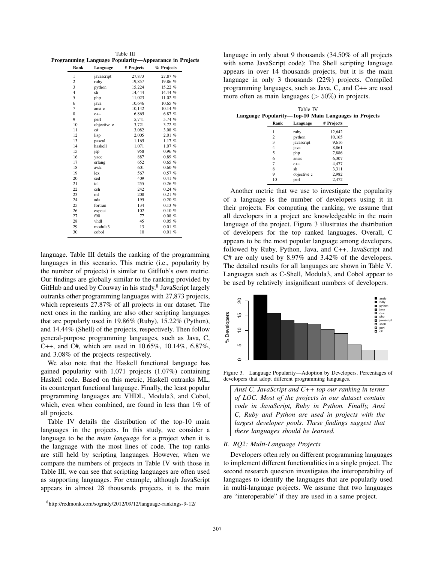Table III Programming Language Popularity—Appearance in Projects

| Rank           | Language    | # Projects | % Projects |
|----------------|-------------|------------|------------|
| 1              | javascript  | 27,873     | 27.87 %    |
| $\overline{c}$ | ruby        | 19,857     | 19.86 %    |
| 3              | python      | 15,224     | 15.22 %    |
| $\overline{4}$ | sh          | 14,444     | 14.44 %    |
| 5              | php         | 11,023     | 11.02 %    |
| 6              | java        | 10,646     | 10.65%     |
| 7              | ansi c      | 10,142     | 10.14 %    |
| 8              | $c++$       | 6,865      | 6.87%      |
| 9              | perl        | 5,741      | 5.74 %     |
| 10             | objective c | 3,721      | 3.72%      |
| 11             | c#          | 3,082      | 3.08%      |
| 12             | lisp        | 2,005      | 2.01%      |
| 13             | pascal      | 1,165      | 1.17%      |
| 14             | haskell     | 1,071      | 1.07%      |
| 15             | jsp         | 958        | $0.96\%$   |
| 16             | vacc        | 887        | 0.89%      |
| 17             | erlang      | 652        | $0.65\%$   |
| 18             | awk         | 601        | 0.60%      |
| 19             | lex         | 567        | 0.57%      |
| 20             | sed         | 409        | 0.41%      |
| 21             | tcl         | 255        | $0.26\%$   |
| 22             | csh         | 242        | 0.24%      |
| 23             | ml          | 208        | 0.21%      |
| 24             | ada         | 195        | $0.20 \%$  |
| 25             | fortran     | 134        | $0.13 \%$  |
| 26             | expect      | 102        | $0.10 \%$  |
| 27             | f90         | 77         | $0.08\%$   |
| 28             | vhdl        | 45         | $0.05\%$   |
| 29             | modula3     | 13         | 0.01~%     |
| 30             | cobol       | 10         | 0.01%      |

language. Table III details the ranking of the programming languages in this scenario. This metric (i.e., popularity by the number of projects) is similar to GitHub's own metric. Our findings are globally similar to the ranking provided by GitHub and used by Conway in his study.<sup>8</sup> JavaScript largely outranks other programming languages with 27,873 projects, which represents 27.87% of all projects in our dataset. The next ones in the ranking are also other scripting languages that are popularly used in 19.86% (Ruby), 15.22% (Python), and 14.44% (Shell) of the projects, respectively. Then follow general-purpose programming languages, such as Java, C, C++, and C#, which are used in 10.65%, 10.14%, 6.87%, and 3.08% of the projects respectively.

We also note that the Haskell functional language has gained popularity with 1,071 projects (1.07%) containing Haskell code. Based on this metric, Haskell outranks ML, its counterpart functional language. Finally, the least popular programming languages are VHDL, Modula3, and Cobol, which, even when combined, are found in less than 1% of all projects.

Table IV details the distribution of the top-10 main languages in the projects. In this study, we consider a language to be the *main language* for a project when it is the language with the most lines of code. The top ranks are still held by scripting languages. However, when we compare the numbers of projects in Table IV with those in Table III, we can see that scripting languages are often used as supporting languages. For example, although JavaScript appears in almost 28 thousands projects, it is the main

language in only about 9 thousands (34.50% of all projects with some JavaScript code); The Shell scripting language appears in over 14 thousands projects, but it is the main language in only 3 thousands (22%) projects. Compiled programming languages, such as Java, C, and C++ are used more often as main languages ( $> 50\%$ ) in projects.

Table IV Language Popularity—Top-10 Main Languages in Projects Rank Language # Projects

| Kank           | Language    | # Projects |
|----------------|-------------|------------|
| 1              | ruby        | 12,642     |
| $\overline{c}$ | python      | 10,165     |
| 3              | javascript  | 9,616      |
| $\overline{4}$ | java        | 8.861      |
| 5              | php         | 7,886      |
| 6              | ansic       | 6,307      |
| 7              | $c++$       | 4.477      |
| 8              | sh          | 3,311      |
| 9              | objective c | 2,982      |
| 10             | perl        | 2,472      |

Another metric that we use to investigate the popularity of a language is the number of developers using it in their projects. For computing the ranking, we assume that all developers in a project are knowledgeable in the main language of the project. Figure 3 illustrates the distribution of developers for the top ranked languages. Overall, C appears to be the most popular language among developers, followed by Ruby, Python, Java, and C++. JavaScript and C# are only used by 8.97% and 3.42% of the developers. The detailed results for all languages are shown in Table V. Languages such as C-Shell, Modula3, and Cobol appear to be used by relatively insignificant numbers of developers.



Figure 3. Language Popularity—Adoption by Developers. Percentages of developers that adopt different programming languages.

*Ansi C, JavaScript and C++ top our ranking in terms of LOC. Most of the projects in our dataset contain code in JavaScript, Ruby in Python. Finally, Ansi C, Ruby and Python are used in projects with the largest developer pools. These findings suggest that these languages should be learned.*

#### *B. RQ2: Multi-Language Projects*

Developers often rely on different programming languages to implement different functionalities in a single project. The second research question investigates the interoperability of languages to identify the languages that are popularly used in multi-language projects. We assume that two languages are "interoperable" if they are used in a same project.

<sup>8</sup>http://redmonk.com/sogrady/2012/09/12/language-rankings-9-12/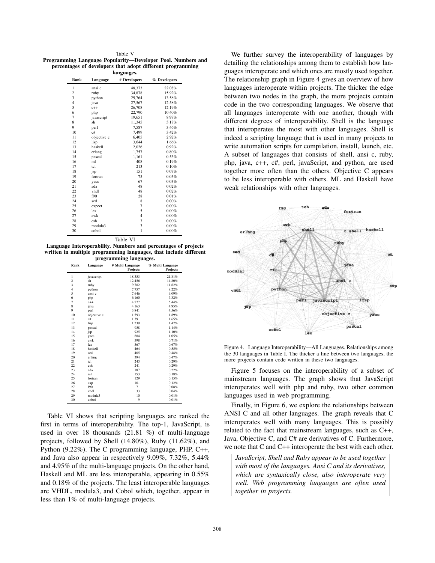Table V Programming Language Popularity—Developer Pool. Numbers and percentages of developers that adopt different programming

|                |             | languages.     |              |
|----------------|-------------|----------------|--------------|
| Rank           | Language    | # Developers   | % Developers |
| $\mathbf{1}$   | ansi c      | 48,373         | 22.08%       |
| $\overline{c}$ | ruby        | 34,878         | 15.92%       |
| $\overline{3}$ | python      | 29.764         | 13.58%       |
| $\overline{4}$ | java        | 27,567         | 12.58%       |
| 5              | $c++$       | 26,708         | 12.19%       |
| 6              | php         | 22,790         | 10.40%       |
| $\overline{7}$ | javascript  | 19,651         | 8.97%        |
| 8              | sh          | 11,345         | 5.18%        |
| 9              | perl        | 7.587          | 3.46%        |
| 10             | c#          | 7,499          | 3.42%        |
| 11             | objective c | 6.405          | 2.92%        |
| 12             | lisp        | 3,644          | 1.66%        |
| 13             | haskell     | 2,026          | 0.92%        |
| 14             | erlang      | 1,757          | 0.80%        |
| 15             | pascal      | 1,161          | 0.53%        |
| 16             | ml          | 408            | 0.19%        |
| 17             | tel         | 213            | 0.10%        |
| 18             | jsp         | 151            | 0.07%        |
| 19             | fortran     | 75             | 0.03%        |
| 20             | yacc        | 67             | 0.03%        |
| 21             | ada         | 48             | 0.02%        |
| 22             | vhdl        | 48             | 0.02%        |
| 23             | f90         | 28             | 0.01%        |
| 24             | sed         | 8              | 0.00%        |
| 25             | expect      | 7              | 0.00%        |
| 26             | lex         | 5              | 0.00%        |
| 27             | awk         | $\overline{4}$ | 0.00%        |
| 28             | csh         | 3              | 0.00%        |
| 29             | modula3     | 3              | 0.00%        |
| 30             | cobol       | 1              | 0.00%        |

Table VI

Language Interoperability. Numbers and percentages of projects written in multiple programming languages, that include different programming languages.

|                         | p. 05. mmm.g . mg mg o . |                                     |                                     |  |  |
|-------------------------|--------------------------|-------------------------------------|-------------------------------------|--|--|
| Rank                    | Language                 | # Multi Language<br><b>Projects</b> | % Multi Language<br><b>Projects</b> |  |  |
| $\mathbf{1}$            | javascript               | 18,353                              | 21.81%                              |  |  |
| $\overline{c}$          | sh                       | 12,456                              | 14.80%                              |  |  |
| $\overline{\mathbf{3}}$ | ruby                     | 9,782                               | 11.62%                              |  |  |
| $\overline{4}$          | python                   | 7.757                               | 9.22%                               |  |  |
| 5                       | ansi c                   | 7,646                               | 9.09%                               |  |  |
| 6                       | php                      | 6,160                               | 7.32%                               |  |  |
| $\overline{7}$          | $c++$                    | 4,577                               | 5.44%                               |  |  |
| 8                       | java                     | 4,163                               | 4.95%                               |  |  |
| 9                       | perl                     | 3,841                               | 4.56%                               |  |  |
| 10                      | objective c              | 1,593                               | 1.89%                               |  |  |
| 11                      | c#                       | 1,391                               | 1.65%                               |  |  |
| 12                      | lisp                     | 1,239                               | 1.47%                               |  |  |
| 13                      | pascal                   | 958                                 | 1.14%                               |  |  |
| 14                      | jsp                      | 925                                 | 1.10%                               |  |  |
| 15                      | yacc                     | 884                                 | 1.05%                               |  |  |
| 16                      | awk                      | 598                                 | 0.71%                               |  |  |
| 17                      | lex                      | 567                                 | 0.67%                               |  |  |
| 18                      | haskell                  | 464                                 | 0.55%                               |  |  |
| 19                      | sed                      | 405                                 | 0.48%                               |  |  |
| 20                      | erlang                   | 394                                 | 0.47%                               |  |  |
| 21                      | tcl                      | 243                                 | 0.29%                               |  |  |
| 22                      | csh                      | 241                                 | 0.29%                               |  |  |
| 23                      | ada                      | 187                                 | 0.22%                               |  |  |
| 24                      | ml                       | 153                                 | 0.18%                               |  |  |
| 25                      | fortran                  | 129                                 | 0.15%                               |  |  |
| 26                      | exp                      | 101                                 | 0.12%                               |  |  |
| 27                      | f90                      | 71                                  | 0.08%                               |  |  |
| 28                      | vhdl                     | 33                                  | 0.04%                               |  |  |
| 29                      | modula3                  | 10                                  | 0.01%                               |  |  |
| 30                      | cobol                    | 9                                   | 0.01%                               |  |  |

Table VI shows that scripting languages are ranked the first in terms of interoperability. The top-1, JavaScript, is used in over 18 thousands  $(21.81\%)$  of multi-language projects, followed by Shell (14.80%), Ruby (11.62%), and Python (9.22%). The C programming language, PHP, C++, and Java also appear in respectively 9.09%, 7.32%, 5.44% and 4.95% of the multi-language projects. On the other hand, Haskell and ML are less interoperable, appearing in 0.55% and 0.18% of the projects. The least interoperable languages are VHDL, modula3, and Cobol which, together, appear in less than 1% of multi-language projects.

We further survey the interoperability of languages by detailing the relationships among them to establish how languages interoperate and which ones are mostly used together. The relationship graph in Figure 4 gives an overview of how languages interoperate within projects. The thicker the edge between two nodes in the graph, the more projects contain code in the two corresponding languages. We observe that all languages interoperate with one another, though with different degrees of interoperability. Shell is the language that interoperates the most with other languages. Shell is indeed a scripting language that is used in many projects to write automation scripts for compilation, install, launch, etc. A subset of languages that consists of shell, ansi c, ruby, php, java, c++, c#, perl, javaScript, and python, are used together more often than the others. Objective C appears to be less interoperable with others. ML and Haskell have weak relationships with other languages.



Figure 4. Language Interoperability—All Languages. Relationships among the 30 languages in Table I. The thicker a line between two languages, the more projects contain code written in these two languages.

Figure 5 focuses on the interoperability of a subset of mainstream languages. The graph shows that JavaScript interoperates well with php and ruby, two other common languages used in web programming.

Finally, in Figure 6, we explore the relationships between ANSI C and all other languages. The graph reveals that C interoperates well with many languages. This is possibly related to the fact that mainstream languages, such as C++, Java, Objective C, and C# are derivatives of C. Furthermore, we note that C and C++ interoperate the best with each other.

*JavaScript, Shell and Ruby appear to be used together with most of the languages. Ansi C and its derivatives, which are syntaxically close, also interoperate very well. Web programming languages are often used together in projects.*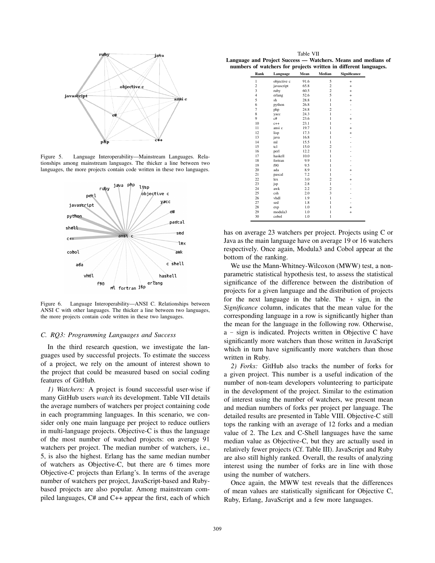

Figure 5. Language Interoperability—Mainstream Languages. Relationships among mainstream languages. The thicker a line between two languages, the more projects contain code written in these two languages.



Figure 6. Language Interoperability—ANSI C. Relationships between ANSI C with other languages. The thicker a line between two languages, the more projects contain code written in these two languages.

## *C. RQ3: Programming Languages and Success*

In the third research question, we investigate the languages used by successful projects. To estimate the success of a project, we rely on the amount of interest shown to the project that could be measured based on social coding features of GitHub.

*1) Watchers:* A project is found successful user-wise if many GitHub users *watch* its development. Table VII details the average numbers of watchers per project containing code in each programming languages. In this scenario, we consider only one main language per project to reduce outliers in multi-language projects. Objective-C is thus the language of the most number of watched projects: on average 91 watchers per project. The median number of watchers, i.e., 5, is also the highest. Erlang has the same median number of watchers as Objective-C, but there are 6 times more Objective-C projects than Erlang's. In terms of the average number of watchers per project, JavaScript-based and Rubybased projects are also popular. Among mainstream compiled languages, C# and C++ appear the first, each of which

Table VII Language and Project Success — Watchers. Means and medians of numbers of watchers for projects written in different languages.

| Rank           | Language    | Mean | Median         | <b>Significance</b> |
|----------------|-------------|------|----------------|---------------------|
| $\mathbf{1}$   | objective c | 91.6 | 5              | $\ddot{}$           |
| $\overline{c}$ | javascript  | 65.8 | $\overline{c}$ | $\ddot{}$           |
| 3              | ruby        | 60.5 | $\overline{c}$ | $+$                 |
| $\overline{4}$ | erlang      | 52.6 | 5              | $+$                 |
| 5              | sh          | 28.8 | 1              | $+$                 |
| 6              | python      | 26.8 | $\mathbf{1}$   |                     |
| 7              | php         | 24.8 | $\overline{c}$ |                     |
| 8              | yacc        | 24.3 | 1              |                     |
| 9              | c#          | 23.6 | 1              | $+$                 |
| 10             | $c++$       | 23.1 | 1              |                     |
| 11             | ansi c      | 19.7 | 1              | $+$                 |
| 12             | lisp        | 17.3 | 1              | $+$                 |
| 13             | java        | 16.8 | 1              |                     |
| 14             | ml          | 15.5 | 1              |                     |
| 15             | tcl         | 15.0 | $\overline{c}$ |                     |
| 16             | perl        | 12.2 | 1              |                     |
| 17             | haskell     | 10.0 | 1              |                     |
| 18             | fortran     | 9.9  | 1              |                     |
| 19             | f90         | 9.5  | 1              |                     |
| 20             | ada         | 8.9  | 1              | $+$                 |
| 21             | pascal      | 7.2  | 1              |                     |
| 22             | lex         | 3.0  | $\overline{c}$ | $+$                 |
| 23             | jsp         | 2.8  | $\mathbf{1}$   |                     |
| 24             | awk         | 2.2  | 2              |                     |
| 25             | csh         | 2.0  | 3              |                     |
| 26             | vhdl        | 1.9  | 1              |                     |
| 27             | sed         | 1.8  | 1              |                     |
| 28             | exp         | 1.0  | 1              | $+$                 |
| 29             | modula3     | 1.0  | 1              | $+$                 |
| 30             | cobol       | 1.0  | 1              |                     |

has on average 23 watchers per project. Projects using C or Java as the main language have on average 19 or 16 watchers respectively. Once again, Modula3 and Cobol appear at the bottom of the ranking.

We use the Mann-Whitney-Wilcoxon (MWW) test, a nonparametric statistical hypothesis test, to assess the statistical significance of the difference between the distribution of projects for a given language and the distribution of projects for the next language in the table. The  $+$  sign, in the *Significance* column, indicates that the mean value for the corresponding language in a row is significantly higher than the mean for the language in the following row. Otherwise, a - sign is indicated. Projects written in Objective C have significantly more watchers than those written in JavaScript which in turn have significantly more watchers than those written in Ruby.

*2) Forks:* GitHub also tracks the number of forks for a given project. This number is a useful indication of the number of non-team developers volunteering to participate in the development of the project. Similar to the estimation of interest using the number of watchers, we present mean and median numbers of forks per project per language. The detailed results are presented in Table VIII. Objective-C still tops the ranking with an average of 12 forks and a median value of 2. The Lex and C-Shell languages have the same median value as Objective-C, but they are actually used in relatively fewer projects (Cf. Table III). JavaScript and Ruby are also still highly ranked. Overall, the results of analyzing interest using the number of forks are in line with those using the number of watchers.

Once again, the MWW test reveals that the differences of mean values are statistically significant for Objective C, Ruby, Erlang, JavaScript and a few more languages.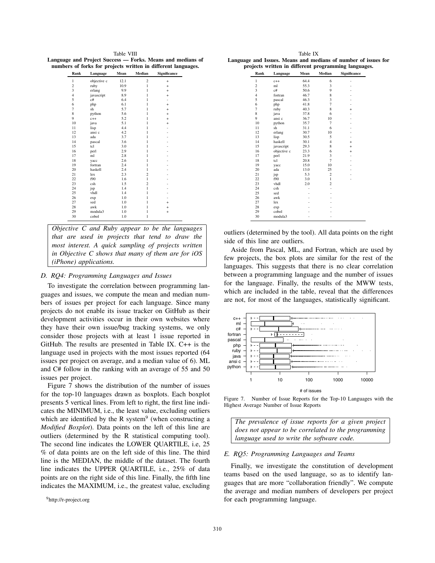Table VIII Language and Project Success — Forks. Means and medians of numbers of forks for projects written in different languages.

| 12.1<br>objective c<br>2<br>$\mathbf{1}$<br>$+$<br>$\overline{c}$<br>$\mathbf{1}$<br>ruby<br>10.9<br>$+$<br>3<br>9.9<br>erlang<br>$\mathbf{1}$<br>$+$<br>$\overline{4}$<br>javascript<br>8.9<br>1<br>$+$<br>5<br>c#<br>6.4<br>1<br>٠<br>6.1<br>6<br>php<br>$\mathbf{1}$<br>$+$<br>$\overline{7}$<br>5.7<br>sh<br>$\mathbf{1}$<br>$+$<br>8<br>5.6<br>python<br>$\mathbf{1}$<br>$+$<br>9<br>5.2<br>1<br>$c++$<br>$+$<br>5.1<br>10<br>$\mathbf{1}$<br>java<br>$+$<br>4.4<br>11<br>lisp<br>$\mathbf{1}$<br>12<br>4.2<br>ansi c<br>$\mathbf{1}$<br>13<br>3.7<br>ada<br>1<br>14<br>3.6<br>pascal<br>1<br>15<br>tcl<br>3.0<br>1<br>16<br>2.9<br>$\mathbf{1}$<br>perl<br>17<br>ml<br>2.8<br>$\mathbf{1}$<br>18<br>2.6<br>$\mathbf{1}$<br>yacc<br>19<br>2.4<br>$\mathbf{1}$<br>fortran<br>2.4<br>20<br>haskell<br>$\mathbf{1}$<br>$\overline{c}$<br>21<br>2.3<br>lex<br>22<br>1.6<br>f90<br>1<br>23<br>$\overline{c}$<br>1.5<br>csh<br>24<br>1.4<br>$\mathbf{1}$<br>jsp<br>25<br>vhdl<br>1.4<br>$\mathbf{1}$<br>26<br>1.0<br>1<br>exp<br>27<br>1.0<br>1<br>sed<br>$+$<br>28<br>1.0<br>awk<br>$\mathbf{1}$<br>$+$<br>29<br>modula3<br>1.0<br>$\mathbf{1}$<br>$\begin{array}{c} + \end{array}$ | Rank | Language | Mean | Median       | <b>Significance</b> |
|-------------------------------------------------------------------------------------------------------------------------------------------------------------------------------------------------------------------------------------------------------------------------------------------------------------------------------------------------------------------------------------------------------------------------------------------------------------------------------------------------------------------------------------------------------------------------------------------------------------------------------------------------------------------------------------------------------------------------------------------------------------------------------------------------------------------------------------------------------------------------------------------------------------------------------------------------------------------------------------------------------------------------------------------------------------------------------------------------------------------------------------------------------------------------------------|------|----------|------|--------------|---------------------|
|                                                                                                                                                                                                                                                                                                                                                                                                                                                                                                                                                                                                                                                                                                                                                                                                                                                                                                                                                                                                                                                                                                                                                                                     |      |          |      |              |                     |
|                                                                                                                                                                                                                                                                                                                                                                                                                                                                                                                                                                                                                                                                                                                                                                                                                                                                                                                                                                                                                                                                                                                                                                                     |      |          |      |              |                     |
|                                                                                                                                                                                                                                                                                                                                                                                                                                                                                                                                                                                                                                                                                                                                                                                                                                                                                                                                                                                                                                                                                                                                                                                     |      |          |      |              |                     |
|                                                                                                                                                                                                                                                                                                                                                                                                                                                                                                                                                                                                                                                                                                                                                                                                                                                                                                                                                                                                                                                                                                                                                                                     |      |          |      |              |                     |
|                                                                                                                                                                                                                                                                                                                                                                                                                                                                                                                                                                                                                                                                                                                                                                                                                                                                                                                                                                                                                                                                                                                                                                                     |      |          |      |              |                     |
|                                                                                                                                                                                                                                                                                                                                                                                                                                                                                                                                                                                                                                                                                                                                                                                                                                                                                                                                                                                                                                                                                                                                                                                     |      |          |      |              |                     |
|                                                                                                                                                                                                                                                                                                                                                                                                                                                                                                                                                                                                                                                                                                                                                                                                                                                                                                                                                                                                                                                                                                                                                                                     |      |          |      |              |                     |
|                                                                                                                                                                                                                                                                                                                                                                                                                                                                                                                                                                                                                                                                                                                                                                                                                                                                                                                                                                                                                                                                                                                                                                                     |      |          |      |              |                     |
|                                                                                                                                                                                                                                                                                                                                                                                                                                                                                                                                                                                                                                                                                                                                                                                                                                                                                                                                                                                                                                                                                                                                                                                     |      |          |      |              |                     |
|                                                                                                                                                                                                                                                                                                                                                                                                                                                                                                                                                                                                                                                                                                                                                                                                                                                                                                                                                                                                                                                                                                                                                                                     |      |          |      |              |                     |
|                                                                                                                                                                                                                                                                                                                                                                                                                                                                                                                                                                                                                                                                                                                                                                                                                                                                                                                                                                                                                                                                                                                                                                                     |      |          |      |              |                     |
|                                                                                                                                                                                                                                                                                                                                                                                                                                                                                                                                                                                                                                                                                                                                                                                                                                                                                                                                                                                                                                                                                                                                                                                     |      |          |      |              |                     |
|                                                                                                                                                                                                                                                                                                                                                                                                                                                                                                                                                                                                                                                                                                                                                                                                                                                                                                                                                                                                                                                                                                                                                                                     |      |          |      |              |                     |
|                                                                                                                                                                                                                                                                                                                                                                                                                                                                                                                                                                                                                                                                                                                                                                                                                                                                                                                                                                                                                                                                                                                                                                                     |      |          |      |              |                     |
|                                                                                                                                                                                                                                                                                                                                                                                                                                                                                                                                                                                                                                                                                                                                                                                                                                                                                                                                                                                                                                                                                                                                                                                     |      |          |      |              |                     |
|                                                                                                                                                                                                                                                                                                                                                                                                                                                                                                                                                                                                                                                                                                                                                                                                                                                                                                                                                                                                                                                                                                                                                                                     |      |          |      |              |                     |
|                                                                                                                                                                                                                                                                                                                                                                                                                                                                                                                                                                                                                                                                                                                                                                                                                                                                                                                                                                                                                                                                                                                                                                                     |      |          |      |              |                     |
|                                                                                                                                                                                                                                                                                                                                                                                                                                                                                                                                                                                                                                                                                                                                                                                                                                                                                                                                                                                                                                                                                                                                                                                     |      |          |      |              |                     |
|                                                                                                                                                                                                                                                                                                                                                                                                                                                                                                                                                                                                                                                                                                                                                                                                                                                                                                                                                                                                                                                                                                                                                                                     |      |          |      |              |                     |
|                                                                                                                                                                                                                                                                                                                                                                                                                                                                                                                                                                                                                                                                                                                                                                                                                                                                                                                                                                                                                                                                                                                                                                                     |      |          |      |              |                     |
|                                                                                                                                                                                                                                                                                                                                                                                                                                                                                                                                                                                                                                                                                                                                                                                                                                                                                                                                                                                                                                                                                                                                                                                     |      |          |      |              |                     |
|                                                                                                                                                                                                                                                                                                                                                                                                                                                                                                                                                                                                                                                                                                                                                                                                                                                                                                                                                                                                                                                                                                                                                                                     |      |          |      |              |                     |
|                                                                                                                                                                                                                                                                                                                                                                                                                                                                                                                                                                                                                                                                                                                                                                                                                                                                                                                                                                                                                                                                                                                                                                                     |      |          |      |              |                     |
|                                                                                                                                                                                                                                                                                                                                                                                                                                                                                                                                                                                                                                                                                                                                                                                                                                                                                                                                                                                                                                                                                                                                                                                     |      |          |      |              |                     |
|                                                                                                                                                                                                                                                                                                                                                                                                                                                                                                                                                                                                                                                                                                                                                                                                                                                                                                                                                                                                                                                                                                                                                                                     |      |          |      |              |                     |
|                                                                                                                                                                                                                                                                                                                                                                                                                                                                                                                                                                                                                                                                                                                                                                                                                                                                                                                                                                                                                                                                                                                                                                                     |      |          |      |              |                     |
|                                                                                                                                                                                                                                                                                                                                                                                                                                                                                                                                                                                                                                                                                                                                                                                                                                                                                                                                                                                                                                                                                                                                                                                     |      |          |      |              |                     |
|                                                                                                                                                                                                                                                                                                                                                                                                                                                                                                                                                                                                                                                                                                                                                                                                                                                                                                                                                                                                                                                                                                                                                                                     |      |          |      |              |                     |
|                                                                                                                                                                                                                                                                                                                                                                                                                                                                                                                                                                                                                                                                                                                                                                                                                                                                                                                                                                                                                                                                                                                                                                                     |      |          |      |              |                     |
|                                                                                                                                                                                                                                                                                                                                                                                                                                                                                                                                                                                                                                                                                                                                                                                                                                                                                                                                                                                                                                                                                                                                                                                     | 30   | cobol    | 1.0  | $\mathbf{1}$ |                     |

*Objective C and Ruby appear to be the languages that are used in projects that tend to draw the most interest. A quick sampling of projects written in Objective C shows that many of them are for iOS (iPhone) applications.*

## *D. RQ4: Programming Languages and Issues*

To investigate the correlation between programming languages and issues, we compute the mean and median numbers of issues per project for each language. Since many projects do not enable its issue tracker on GitHub as their development activities occur in their own websites where they have their own issue/bug tracking systems, we only consider those projects with at least 1 issue reported in GitHub. The results are presented in Table IX. C++ is the language used in projects with the most issues reported (64 issues per project on average, and a median value of 6). ML and C# follow in the ranking with an average of 55 and 50 issues per project.

Figure 7 shows the distribution of the number of issues for the top-10 languages drawn as boxplots. Each boxplot presents 5 vertical lines. From left to right, the first line indicates the MINIMUM, i.e., the least value, excluding outliers which are identified by the R system<sup>9</sup> (when constructing a *Modified Boxplot*). Data points on the left of this line are outliers (determined by the R statistical computing tool). The second line indicates the LOWER QUARTILE, i.e, 25 % of data points are on the left side of this line. The third line is the MEDIAN, the middle of the dataset. The fourth line indicates the UPPER QUARTILE, i.e., 25% of data points are on the right side of this line. Finally, the fifth line indicates the MAXIMUM, i.e., the greatest value, excluding

9http://r-project.org

Table IX Language and Issues. Means and medians of number of issues for projects written in different programming languages.

| Rank           | Language    | Mean | Median           | <b>Significance</b> |
|----------------|-------------|------|------------------|---------------------|
| $\mathbf{1}$   | $c++$       | 64.4 | 6                |                     |
| $\overline{c}$ | ml          | 55.3 | 3                |                     |
| 3              | c#          | 50.6 | 9                |                     |
| $\overline{4}$ | fortran     | 46.7 | 8                |                     |
| 5              | pascal      | 46.3 | 3                |                     |
| 6              | php         | 41.8 | $\overline{7}$   |                     |
| 7              | ruby        | 40.3 | 8                | $\ddot{}$           |
| 8              | java        | 37.8 | 6                |                     |
| 9              | ansi c      | 36.7 | 10               |                     |
| 10             | python      | 35.7 | 7                |                     |
| 11             | sh          | 31.1 | 6                |                     |
| 12             | erlang      | 30.7 | 10               |                     |
| 13             | lisp        | 30.5 | 5                |                     |
| 14             | haskell     | 30.1 | $\overline{4}$   | $+$                 |
| 15             | javascript  | 29.3 | 8                | $+$                 |
| 16             | objective c | 23.3 | 6                | $\ddot{}$           |
| 17             | perl        | 21.9 | 3                |                     |
| 18             | tcl         | 20.8 | $\overline{7}$   |                     |
| 19             | yacc        | 15.0 | 10               |                     |
| 20             | ada         | 13.0 | 25               |                     |
| 21             | jsp         | 5.3  | $\boldsymbol{2}$ |                     |
| 22             | f90         | 3.0  | $\mathbf{1}$     |                     |
| 23             | vhdl        | 2.0  | $\overline{c}$   |                     |
| 24             | csh         |      |                  |                     |
| 25             | sed         |      |                  |                     |
| 26             | awk         |      |                  |                     |
| 27             | lex         |      |                  |                     |
| 28             | exp         |      |                  |                     |
| 29             | cobol       |      |                  |                     |
| 30             | modula3     |      |                  |                     |

outliers (determined by the tool). All data points on the right side of this line are outliers.

Aside from Pascal, ML, and Fortran, which are used by few projects, the box plots are similar for the rest of the languages. This suggests that there is no clear correlation between a programming language and the number of issues for the language. Finally, the results of the MWW tests, which are included in the table, reveal that the differences are not, for most of the languages, statistically significant.



Figure 7. Number of Issue Reports for the Top-10 Languages with the Highest Average Number of Issue Reports

*The prevalence of issue reports for a given project does not appear to be correlated to the programming language used to write the software code.*

# *E. RQ5: Programming Languages and Teams*

Finally, we investigate the constitution of development teams based on the used language, so as to identify languages that are more "collaboration friendly". We compute the average and median numbers of developers per project for each programming language.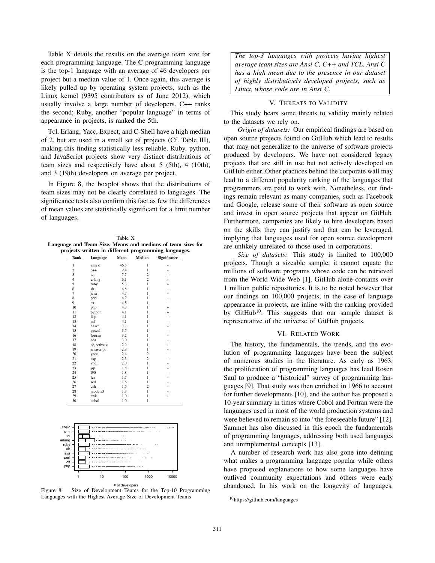Table X details the results on the average team size for each programming language. The C programming language is the top-1 language with an average of 46 developers per project but a median value of 1. Once again, this average is likely pulled up by operating system projects, such as the Linux kernel (9395 contributors as of June 2012), which usually involve a large number of developers. C++ ranks the second; Ruby, another "popular language" in terms of appearance in projects, is ranked the 5th.

Tcl, Erlang, Yacc, Expect, and C-Shell have a high median of 2, but are used in a small set of projects (Cf. Table III), making this finding statistically less reliable. Ruby, python, and JavaScript projects show very distinct distributions of team sizes and respectively have about 5 (5th), 4 (10th), and 3 (19th) developers on average per project.

In Figure 8, the boxplot shows that the distributions of team sizes may not be clearly correlated to languages. The significance tests also confirm this fact as few the differences of mean values are statistically significant for a limit number of languages.

Table X Language and Team Size. Means and medians of team sizes for projects written in different programming languages.

| Rank                    | Language    | Mean | Median                  | <b>Significance</b> |
|-------------------------|-------------|------|-------------------------|---------------------|
| $\mathbf{1}$            | ansi c      | 46.5 | $\mathbf{1}$            |                     |
| $\overline{c}$          | $c++$       | 9.4  | 1                       |                     |
| 3                       | tcl         | 7.7  | $\overline{c}$          |                     |
| $\overline{\mathbf{4}}$ | erlang      | 6.1  | $\overline{\mathbf{c}}$ | $^{+}$              |
| 5                       | ruby        | 5.3  | $\mathbf{1}$            | $^{+}$              |
| 6                       | sh          | 4.8  | $\mathbf{1}$            |                     |
| 7                       | java        | 4.7  | $\mathbf{1}$            |                     |
| 8                       | perl        | 4.7  | $\mathbf{1}$            |                     |
| 9                       | c#          | 4.5  | 1                       |                     |
| 10                      | php         | 4.3  | $\mathbf{1}$            | $\ddot{}$           |
| 11                      | python      | 4.1  | $\mathbf{1}$            | $^{+}$              |
| 12                      | lisp        | 4.1  | $\mathbf{1}$            |                     |
| 13                      | ml          | 4.1  | $\mathbf{1}$            |                     |
| 14                      | haskell     | 3.7  | $\mathbf{1}$            |                     |
| 15                      | pascal      | 3.5  | $\mathbf{1}$            |                     |
| 16                      | fortran     | 3.2  | 1                       |                     |
| 17                      | ada         | 3.0  | $\mathbf{1}$            |                     |
| 18                      | objective c | 2.9  | $\mathbf{1}$            | $\ddot{}$           |
| 19                      | javascript  | 2.8  | 1                       |                     |
| 20                      | yacc        | 2.4  | $\overline{c}$          |                     |
| 21                      | exp         | 2.3  | $\overline{c}$          |                     |
| 22                      | vhdl        | 2.0  | $\mathbf{1}$            |                     |
| 23                      | jsp         | 1.8  | $\mathbf{1}$            |                     |
| 24                      | f90         | 1.8  | $\mathbf{1}$            |                     |
| 25                      | lex         | 1.7  | $\mathbf{1}$            |                     |
| 26                      | sed         | 1.6  | 1                       |                     |
| 27                      | csh         | 1.5  | $\overline{c}$          |                     |
| 28                      | modula3     | 1.3  | $\mathbf{1}$            |                     |
| 29                      | awk         | 1.0  | $\mathbf{1}$            | $\ddot{}$           |
| 30                      | cobol       | 1.0  | $\mathbf{1}$            |                     |



Figure 8. Size of Development Teams for the Top-10 Programming Languages with the Highest Average Size of Development Teams

*The top-3 languages with projects having highest average team sizes are Ansi C, C++ and TCL. Ansi C has a high mean due to the presence in our dataset of highly distributively developed projects, such as Linux, whose code are in Ansi C.*

## V. THREATS TO VALIDITY

This study bears some threats to validity mainly related to the datasets we rely on.

*Origin of datasets:* Our empirical findings are based on open source projects found on GitHub which lead to results that may not generalize to the universe of software projects produced by developers. We have not considered legacy projects that are still in use but not actively developed on GitHub either. Other practices behind the corporate wall may lead to a different popularity ranking of the languages that programmers are paid to work with. Nonetheless, our findings remain relevant as many companies, such as Facebook and Google, release some of their software as open source and invest in open source projects that appear on GitHub. Furthermore, companies are likely to hire developers based on the skills they can justify and that can be leveraged, implying that languages used for open source development are unlikely unrelated to those used in corporations.

*Size of datasets:* This study is limited to 100,000 projects. Though a sizeable sample, it cannot equate the millions of software programs whose code can be retrieved from the World Wide Web [1]. GitHub alone contains over 1 million public repositories. It is to be noted however that our findings on 100,000 projects, in the case of language appearance in projects, are inline with the ranking provided by GitHub<sup>10</sup>. This suggests that our sample dataset is representative of the universe of GitHub projects.

## VI. RELATED WORK

The history, the fundamentals, the trends, and the evolution of programming languages have been the subject of numerous studies in the literature. As early as 1963, the proliferation of programming languages has lead Rosen Saul to produce a "historical" survey of programming languages [9]. That study was then enriched in 1966 to account for further developments [10], and the author has proposed a 10-year summary in times where Cobol and Fortran were the languages used in most of the world production systems and were believed to remain so into "the foreseeable future" [12]. Sammet has also discussed in this epoch the fundamentals of programming languages, addressing both used languages and unimplemented concepts [13].

A number of research work has also gone into defining what makes a programming language popular while others have proposed explanations to how some languages have outlived community expectations and others were early abandoned. In his work on the longevity of languages,

<sup>10</sup>https://github.com/languages